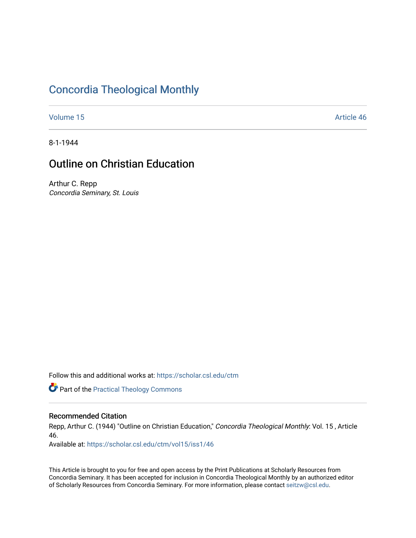# [Concordia Theological Monthly](https://scholar.csl.edu/ctm)

[Volume 15](https://scholar.csl.edu/ctm/vol15) Article 46

8-1-1944

# Outline on Christian Education

Arthur C. Repp Concordia Seminary, St. Louis

Follow this and additional works at: [https://scholar.csl.edu/ctm](https://scholar.csl.edu/ctm?utm_source=scholar.csl.edu%2Fctm%2Fvol15%2Fiss1%2F46&utm_medium=PDF&utm_campaign=PDFCoverPages)

**Part of the [Practical Theology Commons](http://network.bepress.com/hgg/discipline/1186?utm_source=scholar.csl.edu%2Fctm%2Fvol15%2Fiss1%2F46&utm_medium=PDF&utm_campaign=PDFCoverPages)** 

### Recommended Citation

Repp, Arthur C. (1944) "Outline on Christian Education," Concordia Theological Monthly: Vol. 15, Article 46.

Available at: [https://scholar.csl.edu/ctm/vol15/iss1/46](https://scholar.csl.edu/ctm/vol15/iss1/46?utm_source=scholar.csl.edu%2Fctm%2Fvol15%2Fiss1%2F46&utm_medium=PDF&utm_campaign=PDFCoverPages) 

This Article is brought to you for free and open access by the Print Publications at Scholarly Resources from Concordia Seminary. It has been accepted for inclusion in Concordia Theological Monthly by an authorized editor of Scholarly Resources from Concordia Seminary. For more information, please contact [seitzw@csl.edu](mailto:seitzw@csl.edu).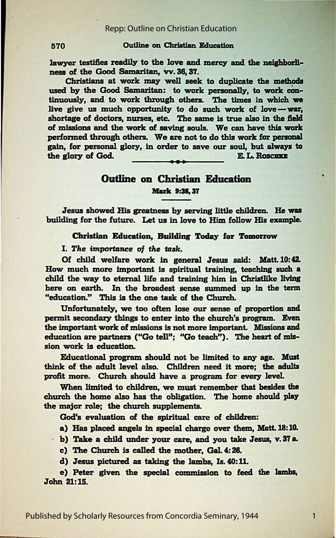#### 1570 Outline on Christian Education

lawyer testifies readily to the love and mercy and the neighborlinesa of the Good Samaritan, vv. 38, 37.

Christians at work may well seek to duplicate the methoda used by the Good Samaritan: to work personally, to work continuously, and to work through others. The times in which we live give us much opportunity to do such work of **love-war,**  shortage of doctors, nurses, etc. The same is true also in the field of missions and the work of saving souls. We can have this work performed through others. We are not to do this work for personal gain, for personal glory, in order to save our soul, but always to the glory of God.  $E. L. R$ 

### Outline on Christian **Education Mark 9:36, 37**

Jesus showed His **greatness** by serving little children. He wu building for the future. Let us in love to Him follow His example.

Christion Education, **Building** Today for **Tomorrow** 

**I.** The importance of the task.

Of child welfare work in general Jesus said: Matt.10:42. How much more important ls spiritual training, **teaching such a**  child the way to eternal life and training him in Christlike living here on earth. In the broadest sense summed up in **the term**  "education." This is the one task of the Church.

Unfortunately, we too often lose our sense of **proportion and**  permit secondary things to enter into the church's program. Even the important work of missions is not more important. Missions and education are partners ("Go tell"; "Go teach"). The heart of mission work is education.

Educational program should not be limited to any age. Must think of the adult level also. Children need it more; the adults profit more. Church should have a program for every level

When limited to children, we must remember that **besides the**  church the home also has the obligation. The home should play the major role; the church supplements.

God's evaluation of the spiritual care of children:

a) Has placed angels in special charge over them, Matt.18: 10.

b) Take a child under your care, and you take Jesus, v. 37 a.

c) The Church is called the mother, Gal. 4: 28.

d) Jesus pictured as taking the lambs, Is. 40:11.

e) Peter given the special commission to feed the lambs, John 21:15.

1

Published by Scholarly Resources from Concordia Seminary, 1944